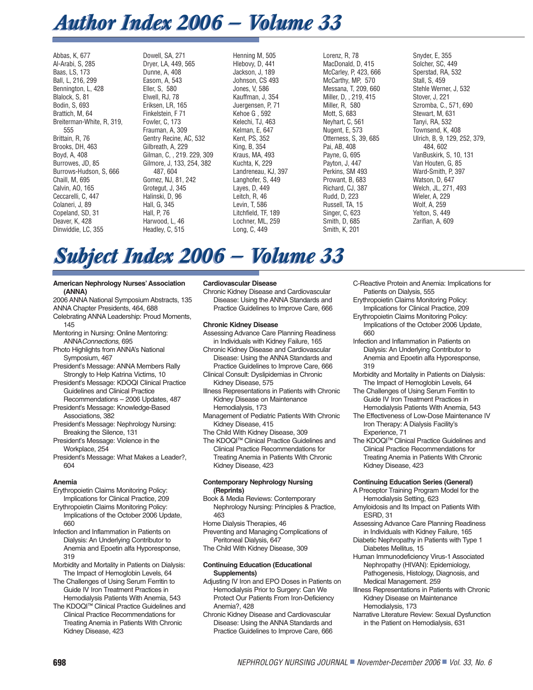# *Author Index 2006 — Volume 33 Author Index 2006 — Volume 33*

Abbas, K, 677 Al-Arabi, S, 285 Baas, LS, 173 Ball, L, 216, 299 Bennington, L, 428 Blalock, S, 81 Bodin, S, 693 Brattich, M, 64 Breiterman-White, R, 319, 555 Brittain, R, 76 Brooks, DH, 463 Boyd, A, 408 Burrowes, JD, 85 Burrows-Hudson, S, 666 Chaill, M, 695 Calvin, AO, 165 Ceccarelli, C, 447 Colaneri, J, 89 Copeland, SD, 31 Deaver, K, 428 Dinwiddie, LC, 355

Dowell, SA, 271 Dryer, LA, 449, 565 Dunne, A, 408 Easom, A, 543 Eller, S, 580 Elwell, RJ, 78 Eriksen, LR, 165 Finkelstein, F 71 Fowler, C, 173 Frauman, A, 309 Gentry Recine, AC, 532 Gilbreath, A, 229 Gilman, C, , 219. 229, 309 Gilmore, J, 133, 254, 382 487, 604 Gomez, NJ, 81, 242 Grotegut, J, 345 Halinski, D, 96 Hall, G, 345 Hall, P, 76 Harwood, L, 46 Headley, C, 515

Henning M, 505 Hlebovy, D, 441 Jackson, J, 189 Johnson, CS 493 Jones, V, 586 Kauffman, J, 354 Juergensen, P, 71 Kehoe G , 592 Kelechi, TJ, 463 Kelman, E, 647 Kent, PS, 352 King, B, 354 Kraus, MA, 493 Kuchta, K, 229 Landreneau, KJ, 397 Langhofer, S, 449 Layes, D, 449 Leitch, R, 46 Levin, T, 586 Litchfield, TF, 189 Lochner, ML, 259 Long, C, 449

Lorenz, R, 78 MacDonald, D, 415 McCarley, P, 423, 666 McCarthy, MP, 570 Messana, T, 209, 660 Miller, D, , 219, 415 Miller, R, 580 Mott, S, 683 Neyhart, C, 561 Nugent, E, 573 Otterness, S, 39, 685 Pai, AB, 408 Payne, G, 695 Payton, J, 447 Perkins, SM 493 Prowant, B, 683 Richard, CJ, 387 Rudd, D, 223 Russell, TA, 15 Singer, C, 623 Smith, D, 685 Smith, K, 201

Snyder, E, 355 Solcher, SC, 449 Sperstad, RA, 532 Stall, S, 459 Stehle Werner, J, 532 Stover, J, 221 Szromba, C., 571, 690 Stewart, M, 631 Tanyi, RA, 532 Townsend, K, 408 Ulrich, B, 9, 129, 252, 379, 484, 602 VanBuskirk, S, 10, 131 Van Houten, G, 85 Ward-Smith, P, 397 Watson, D, 647 Welch, JL, 271, 493 Wieler, A, 229 Wolf, A, 259 Yelton, S, 449 Zarifian, A, 609

# *Subject Index 2006 — Volume 33 Subject Index 2006 — Volume 33*

#### **American Nephrology Nurses' Association (ANNA)**

2006 ANNA National Symposium Abstracts, 135 ANNA Chapter Presidents, 464, 688

- Celebrating ANNA Leadership: Proud Moments, 145
- Mentoring in Nursing: Online Mentoring: ANNAConnections, 695
- Photo Highlights from ANNA's National Symposium, 467
- President's Message: ANNA Members Rally Strongly to Help Katrina Victims, 10
- President's Message: KDOQI Clinical Practice Guidelines and Clinical Practice Recommendations – 2006 Updates, 487
- President's Message: Knowledge-Based Associations, 382
- President's Message: Nephrology Nursing: Breaking the Silence, 131
- President's Message: Violence in the Workplace, 254
- President's Message: What Makes a Leader?, 604

# **Anemia**

- Erythropoietin Claims Monitoring Policy: Implications for Clinical Practice, 209
- Erythropoietin Claims Monitoring Policy: Implications of the October 2006 Update, 660
- Infection and Inflammation in Patients on Dialysis: An Underlying Contributor to Anemia and Epoetin alfa Hyporesponse, 319
- Morbidity and Mortality in Patients on Dialysis: The Impact of Hemoglobin Levels, 64
- The Challenges of Using Serum Ferritin to Guide IV Iron Treatment Practices in Hemodialysis Patients With Anemia, 543
- The KDOQI™ Clinical Practice Guidelines and Clinical Practice Recommendations for Treating Anemia in Patients With Chronic Kidney Disease, 423

# **Cardiovascular Disease**

Chronic Kidney Disease and Cardiovascular Disease: Using the ANNA Standards and Practice Guidelines to Improve Care, 666

# **Chronic Kidney Disease**

- Assessing Advance Care Planning Readiness in Individuals with Kidney Failure, 165
- Chronic Kidney Disease and Cardiovascular Disease: Using the ANNA Standards and Practice Guidelines to Improve Care, 666
- Clinical Consult: Dyslipidemias in Chronic Kidney Disease, 575
- Illness Representations in Patients with Chronic Kidney Disease on Maintenance Hemodialysis, 173
- Management of Pediatric Patients With Chronic Kidney Disease, 415
- The Child With Kidney Disease, 309
- The KDOQI™ Clinical Practice Guidelines and Clinical Practice Recommendations for Treating Anemia in Patients With Chronic Kidney Disease, 423

#### **Contemporary Nephrology Nursing (Reprints)**

- Book & Media Reviews: Contemporary Nephrology Nursing: Principles & Practice, 463
- Home Dialysis Therapies, 46
- Preventing and Managing Complications of Peritoneal Dialysis, 647
- The Child With Kidney Disease, 309

#### **Continuing Education (Educational Supplements)**

- Adjusting IV Iron and EPO Doses in Patients on Hemodialysis Prior to Surgery: Can We Protect Our Patients From Iron-Deficiency Anemia?, 428
- Chronic Kidney Disease and Cardiovascular Disease: Using the ANNA Standards and Practice Guidelines to Improve Care, 666
- C-Reactive Protein and Anemia: Implications for Patients on Dialysis, 555
- Erythropoietin Claims Monitoring Policy: Implications for Clinical Practice, 209
- Erythropoietin Claims Monitoring Policy: Implications of the October 2006 Update, 660
- Infection and Inflammation in Patients on Dialysis: An Underlying Contributor to Anemia and Epoetin alfa Hyporesponse, 319
- Morbidity and Mortality in Patients on Dialysis: The Impact of Hemoglobin Levels, 64
- The Challenges of Using Serum Ferritin to Guide IV Iron Treatment Practices in Hemodialysis Patients With Anemia, 543
- The Effectiveness of Low-Dose Maintenance IV Iron Therapy: A Dialysis Facility's Experience, 71
- The KDOQI™ Clinical Practice Guidelines and Clinical Practice Recommendations for Treating Anemia in Patients With Chronic Kidney Disease, 423

# **Continuing Education Series (General)**

- A Preceptor Training Program Model for the Hemodialysis Setting, 623
- Amyloidosis and Its Impact on Patients With ESRD, 31
- Assessing Advance Care Planning Readiness in Individuals with Kidney Failure, 165
- Diabetic Nephropathy in Patients with Type 1 Diabetes Mellitus, 15
- Human Immunodeficiency Virus-1 Associated Nephropathy (HIVAN): Epidemiology, Pathogenesis, Histology, Diagnosis, and Medical Management. 259
- Illness Representations in Patients with Chronic Kidney Disease on Maintenance Hemodialysis, 173
- Narrative Literature Review: Sexual Dysfunction in the Patient on Hemodialysis, 631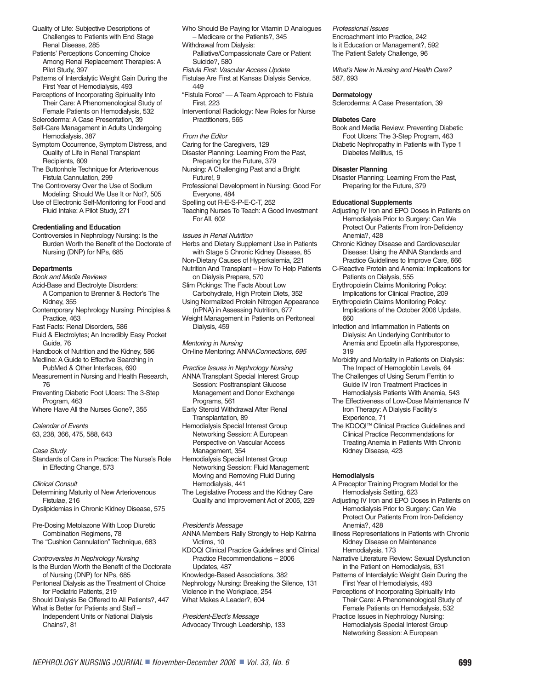Quality of Life: Subjective Descriptions of Challenges to Patients with End Stage Renal Disease, 285

Patients' Perceptions Concerning Choice Among Renal Replacement Therapies: A Pilot Study, 397

Patterns of Interdialytic Weight Gain During the First Year of Hemodialysis, 493

Perceptions of Incorporating Spiriuality Into Their Care: A Phenomenological Study of Female Patients on Hemodialysis, 532

Scleroderma: A Case Presentation, 39 Self-Care Management in Adults Undergoing Hemodialysis, 387

Symptom Occurrence, Symptom Distress, and Quality of Life in Renal Transplant Recipients, 609

The Buttonhole Technique for Arteriovenous Fistula Cannulation, 299

The Controversy Over the Use of Sodium Modeling: Should We Use It or Not?, 505

Use of Electronic Self-Monitoring for Food and Fluid Intake: A Pilot Study, 271

# **Credentialing and Education**

Controversies in Nephrology Nursing: Is the Burden Worth the Benefit of the Doctorate of Nursing (DNP) for NPs, 685

#### **Departments**

Book and Media Reviews

Acid-Base and Electrolyte Disorders:

- A Companion to Brenner & Rector's The Kidney, 355
- Contemporary Nephrology Nursing: Principles & Practice, 463

Fast Facts: Renal Disorders, 586

Fluid & Electrolytes; An Incredibly Easy Pocket Guide, 76

Handbook of Nutrition and the Kidney, 586 Medline: A Guide to Effective Searching in

- PubMed & Other Interfaces, 690 Measurement in Nursing and Health Research, 76
- Preventing Diabetic Foot Ulcers: The 3-Step Program, 463
- Where Have All the Nurses Gone?, 355

Calendar of Events 63, 238, 366, 475, 588, 643

Case Study Standards of Care in Practice: The Nurse's Role

in Effecting Change, 573

Clinical Consult Determining Maturity of New Arteriovenous Fistulae, 216

Dyslipidemias in Chronic Kidney Disease, 575

Pre-Dosing Metolazone With Loop Diuretic Combination Regimens, 78 The "Cushion Cannulation" Technique, 683

Controversies in Nephrology Nursing Is the Burden Worth the Benefit of the Doctorate of Nursing (DNP) for NPs, 685

Peritoneal Dialysis as the Treatment of Choice for Pediatric Patients, 219

Should Dialysis Be Offered to All Patients?, 447 What is Better for Patients and Staff – Independent Units or National Dialysis Chains?, 81

Who Should Be Paying for Vitamin D Analogues – Medicare or the Patients?, 345

Withdrawal from Dialysis:

Palliative/Compassionate Care or Patient Suicide?, 580

Fistula First: Vascular Access Update

Fistulae Are First at Kansas Dialysis Service, 449

"Fistula Force" — A Team Approach to Fistula First, 223

Interventional Radiology: New Roles for Nurse Practitioners, 565

From the Editor

Caring for the Caregivers, 129

Disaster Planning: Learning From the Past, Preparing for the Future, 379

Nursing: A Challenging Past and a Bright Future!, 9

Professional Development in Nursing: Good For Everyone, 484

Spelling out R-E-S-P-E-C-T, 252

Teaching Nurses To Teach: A Good Investment For All, 602

Issues in Renal Nutrition

- Herbs and Dietary Supplement Use in Patients with Stage 5 Chronic Kidney Disease, 85 Non-Dietary Causes of Hyperkalemia, 221
- Nutrition And Transplant How To Help Patients on Dialysis Prepare, 570
- Slim Pickings: The Facts About Low Carbohydrate, High Protein Diets, 352

Using Normalized Protein Nitrogen Appearance (nPNA) in Assessing Nutrition, 677

Weight Management in Patients on Peritoneal Dialysis, 459

Mentoring in Nursing

On-line Mentoring: ANNAConnections, 695

Practice Issues in Nephrology Nursing ANNA Transplant Special Interest Group Session: Posttransplant Glucose Management and Donor Exchange Programs, 561

- Early Steroid Withdrawal After Renal Transplantation, 89
- Hemodialysis Special Interest Group Networking Session: A European Perspective on Vascular Access Management, 354

Hemodialysis Special Interest Group Networking Session: Fluid Management: Moving and Removing Fluid During Hemodialysis, 441

The Legislative Process and the Kidney Care Quality and Improvement Act of 2005, 229

President's Message

ANNA Members Rally Strongly to Help Katrina Victims, 10

KDOQI Clinical Practice Guidelines and Clinical Practice Recommendations – 2006 Updates, 487

Knowledge-Based Associations, 382 Nephrology Nursing: Breaking the Silence, 131 Violence in the Workplace, 254 What Makes A Leader?, 604

President-Elect's Message Advocacy Through Leadership, 133 Professional Issues Encroachment Into Practice, 242 Is it Education or Management?, 592 The Patient Safety Challenge, 96

What's New in Nursing and Health Care? 587, 693

#### **Dermatology**

Scleroderma: A Case Presentation, 39

#### **Diabetes Care**

Book and Media Review: Preventing Diabetic Foot Ulcers: The 3-Step Program, 463 Diabetic Nephropathy in Patients with Type 1 Diabetes Mellitus, 15

#### **Disaster Planning**

Disaster Planning: Learning From the Past, Preparing for the Future, 379

#### **Educational Supplements**

- Adjusting IV Iron and EPO Doses in Patients on Hemodialysis Prior to Surgery: Can We Protect Our Patients From Iron-Deficiency Anemia?, 428
- Chronic Kidney Disease and Cardiovascular Disease: Using the ANNA Standards and Practice Guidelines to Improve Care, 666
- C-Reactive Protein and Anemia: Implications for Patients on Dialysis, 555
- Erythropoietin Claims Monitoring Policy: Implications for Clinical Practice, 209

Erythropoietin Claims Monitoring Policy: Implications of the October 2006 Update, 660

- Infection and Inflammation in Patients on Dialysis: An Underlying Contributor to Anemia and Epoetin alfa Hyporesponse, 319
- Morbidity and Mortality in Patients on Dialysis: The Impact of Hemoglobin Levels, 64
- The Challenges of Using Serum Ferritin to Guide IV Iron Treatment Practices in Hemodialysis Patients With Anemia, 543
- The Effectiveness of Low-Dose Maintenance IV Iron Therapy: A Dialysis Facility's Experience, 71
- The KDOQI™ Clinical Practice Guidelines and Clinical Practice Recommendations for Treating Anemia in Patients With Chronic Kidney Disease, 423

# **Hemodialysis**

- A Preceptor Training Program Model for the Hemodialysis Setting, 623
- Adjusting IV Iron and EPO Doses in Patients on Hemodialysis Prior to Surgery: Can We Protect Our Patients From Iron-Deficiency Anemia?, 428
- Illness Representations in Patients with Chronic Kidney Disease on Maintenance Hemodialysis, 173
- Narrative Literature Review: Sexual Dysfunction in the Patient on Hemodialysis, 631
- Patterns of Interdialytic Weight Gain During the First Year of Hemodialysis, 493
- Perceptions of Incorporating Spiriuality Into Their Care: A Phenomenological Study of Female Patients on Hemodialysis, 532

Practice Issues in Nephrology Nursing: Hemodialysis Special Interest Group Networking Session: A European